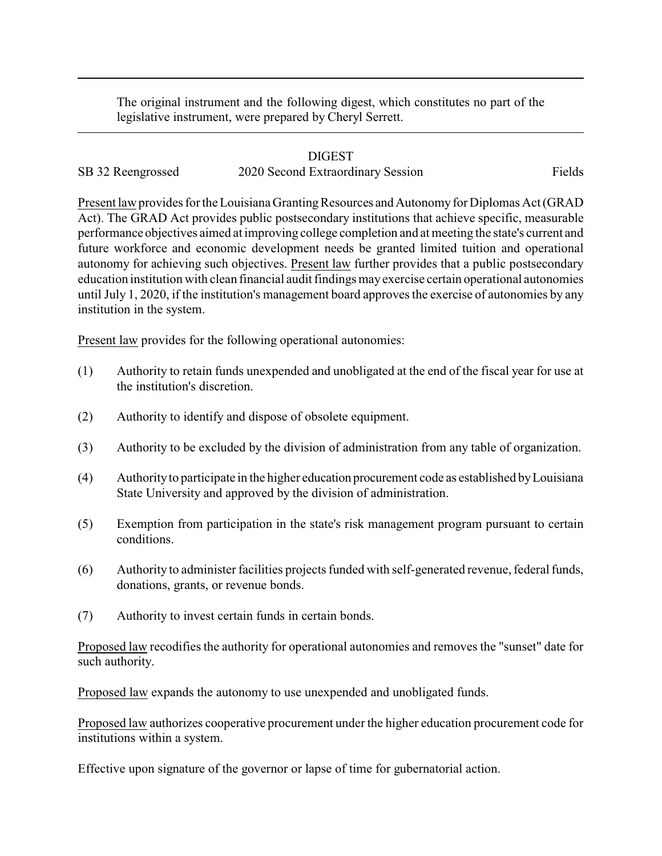The original instrument and the following digest, which constitutes no part of the legislative instrument, were prepared by Cheryl Serrett.

## DIGEST

SB 32 Reengrossed 2020 Second Extraordinary Session Fields

Present law provides for the Louisiana Granting Resources and Autonomy for Diplomas Act (GRAD Act). The GRAD Act provides public postsecondary institutions that achieve specific, measurable performance objectives aimed at improving college completion and at meeting the state's current and future workforce and economic development needs be granted limited tuition and operational autonomy for achieving such objectives. Present law further provides that a public postsecondary education institution with clean financial audit findings mayexercise certain operational autonomies until July 1, 2020, if the institution's management board approves the exercise of autonomies by any institution in the system.

Present law provides for the following operational autonomies:

- (1) Authority to retain funds unexpended and unobligated at the end of the fiscal year for use at the institution's discretion.
- (2) Authority to identify and dispose of obsolete equipment.
- (3) Authority to be excluded by the division of administration from any table of organization.
- (4) Authorityto participate in the higher education procurement code as established byLouisiana State University and approved by the division of administration.
- (5) Exemption from participation in the state's risk management program pursuant to certain conditions.
- (6) Authority to administer facilities projects funded with self-generated revenue, federal funds, donations, grants, or revenue bonds.
- (7) Authority to invest certain funds in certain bonds.

Proposed law recodifies the authority for operational autonomies and removes the "sunset" date for such authority.

Proposed law expands the autonomy to use unexpended and unobligated funds.

Proposed law authorizes cooperative procurement under the higher education procurement code for institutions within a system.

Effective upon signature of the governor or lapse of time for gubernatorial action.